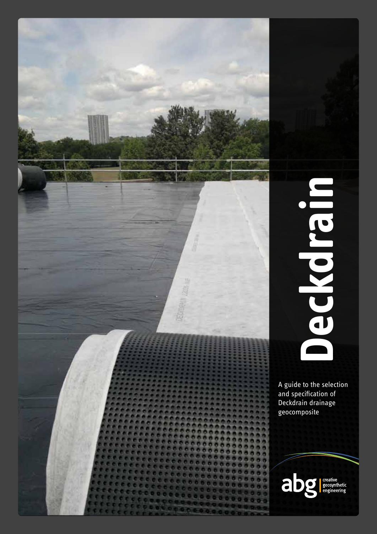

# **Deckdrain** Iled Roya

A guide to the selection and specification of Deckdrain drainage geocomposite

abg

creative<br>geosynthetic<br>engineering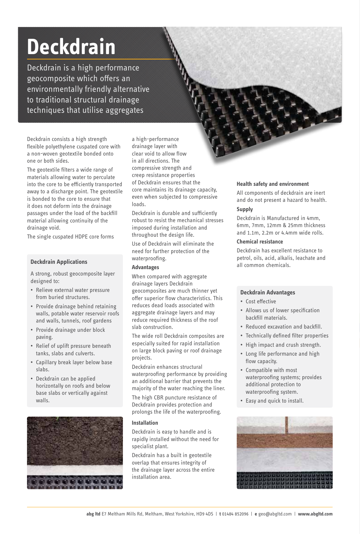# **Deckdrain**

Deckdrain is a high performance geocomposite which offers an environmentally friendly alternative to traditional structural drainage techniques that utilise aggregates

Deckdrain consists a high strength flexible polyethylene cuspated core with a non-woven geotextile bonded onto one or both sides.

The geotextile filters a wide range of materials allowing water to perculate into the core to be efficiently transported away to a discharge point. The geotextile is bonded to the core to ensure that it does not deform into the drainage passages under the load of the backfill material allowing continuity of the drainage void.

The single cuspated HDPE core forms

### **Deckdrain Applications**

A strong, robust geocomposite layer designed to:

- Relieve external water pressure from buried structures.
- Provide drainage behind retaining walls, potable water reservoir roofs and walls, tunnels, roof gardens
- Provide drainage under block paving.
- Relief of uplift pressure beneath tanks, slabs and culverts.
- Capillary break layer below base slabs.
- Deckdrain can be applied horizontally on roofs and below base slabs or vertically against walls.



a high-performance drainage layer with clear void to allow flow in all directions. The compressive strength and creep resistance properties of Deckdrain ensures that the core maintains its drainage capacity, even when subjected to compressive loads.

Deckdrain is durable and sufficiently robust to resist the mechanical stresses imposed during installation and throughout the design life.

Use of Deckdrain will eliminate the need for further protection of the waterproofing.

### **Advantages**

When compared with aggregate drainage layers Deckdrain geocomposites are much thinner yet offer superior flow characteristics. This reduces dead loads associated with aggregate drainage layers and may reduce required thickness of the roof slab construction.

The wide roll Deckdrain composites are especially suited for rapid installation on large block paving or roof drainage projects.

Deckdrain enhances structural waterproofing performance by providing an additional barrier that prevents the majority of the water reaching the liner.

The high CBR puncture resistance of Deckdrain provides protection and prolongs the life of the waterproofing.

### **Installation**

Deckdrain is easy to handle and is rapidly installed without the need for specialist plant.

Deckdrain has a built in geotextile overlap that ensures integrity of the drainage layer across the entire installation area.

### **Health safety and environment**

All components of deckdrain are inert and do not present a hazard to health.

### **Supply**

Deckdrain is Manufactured in 4mm, 6mm, 7mm, 12mm & 25mm thickness and 1.1m, 2.2m or 4.4mm wide rolls.

### **Chemical resistance**

Deckdrain has excellent resistance to petrol, oils, acid, alkalis, leachate and all common chemicals.

### **Deckdrain Advantages**

- Cost effective
- Allows us of lower specification backfill materials.
- Reduced excavation and backfill.
- Technically defined filter properties
- High impact and crush strength.
- Long life performance and high flow capacity.
- Compatible with most waterproofing systems; provides additional protection to waterproofing system.
- Easy and quick to install.

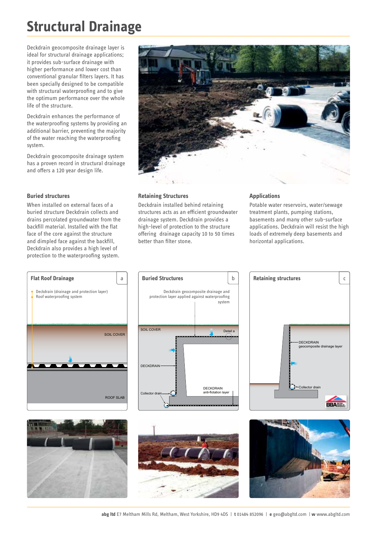# **Structural Drainage**

Deckdrain geocomposite drainage layer is ideal for structural drainage applications; it provides sub-surface drainage with higher performance and lower cost than conventional granular filters layers. It has been specially designed to be compatible with structural waterproofing and to give the optimum performance over the whole life of the structure.

Deckdrain enhances the performance of the waterproofing systems by providing an additional barrier, preventing the majority of the water reaching the waterproofing system.

Deckdrain geocomposite drainage system has a proven record in structural drainage and offers a 120 year design life.

### **Buried structures**

When installed on external faces of a buried structure Deckdrain collects and drains percolated groundwater from the backfill material. Installed with the flat face of the core against the structure and dimpled face against the backfill, Deckdrain also provides a high level of protection to the waterproofing system.



### **Retaining Structures**

Deckdrain installed behind retaining structures acts as an efficient groundwater drainage system. Deckdrain provides a high-level of protection to the structure offering drainage capacity 10 to 50 times better than filter stone.

### **Applications**

Potable water reservoirs, water/sewage treatment plants, pumping stations, basements and many other sub-surface applications. Deckdrain will resist the high loads of extremely deep basements and horizontal applications.











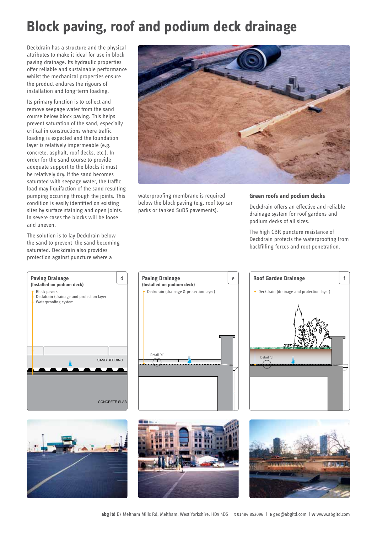# **Block paving, roof and podium deck drainage**

Deckdrain has a structure and the physical attributes to make it ideal for use in block paving drainage. Its hydraulic properties offer reliable and sustainable performance whilst the mechanical properties ensure the product endures the rigours of installation and long-term loading.

Its primary function is to collect and remove seepage water from the sand course below block paving. This helps prevent saturation of the sand, especially critical in constructions where traffic loading is expected and the foundation layer is relatively impermeable (e.g. concrete, asphalt, roof decks, etc.). In order for the sand course to provide adequate support to the blocks it must be relatively dry. If the sand becomes saturated with seepage water, the traffic load may liquifaction of the sand resulting pumping occuring through the joints. This condition is easily identified on existing sites by surface staining and open joints. In severe cases the blocks will be loose and uneven.

The solution is to lay Deckdrain below the sand to prevent the sand becoming saturated. Deckdrain also provides protection against puncture where a







The high CBR puncture resistance of Deckdrain protects the waterproofing from backfilling forces and root penetration.







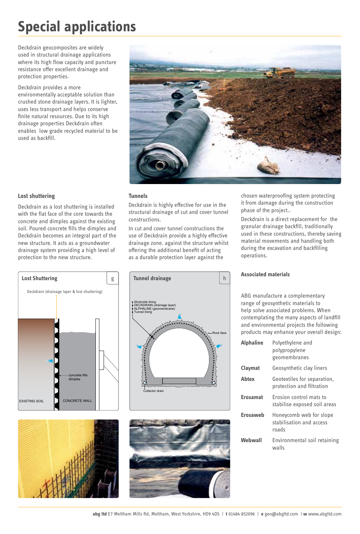# **Special applications**

Deckdrain geocomposites are widely used in structural drainage applications where its high flow capacity and puncture resistance offer excellent drainage and protection properties.

Deckdrain provides a more environmentally acceptable solution than crushed stone drainage layers. It is lighter, uses less transport and helps conserve finite natural resources. Due to its high drainage properties Deckdrain often enables low grade recycled material to be used as backfill.



### **Lost shuttering**

Deckdrain as a lost shuttering is installed with the flat face of the core towards the concrete and dimples against the existing soil. Poured concrete fills the dimples and Deckdrain becomes an integral part of the new structure. It acts as a groundwater drainage system providing a high level of protection to the new structure.

### **Tunnels**

Deckdrain is highly effective for use in the structural drainage of cut and cover tunnel constructions.

In cut and cover tunnel constructions the use of Deckdrain provide a highly effective drainage zone. against the structure whilst offering the additional benefit of acting as a durable protection layer against the

chosen waterproofing system protecting it from damage during the construction phase of the project..

Deckdrain is a direct replacement for the granular drainage backfill, traditionally used in these constructions, thereby saving material movements and handling both during the excavation and backfilling operations.



### **Associated materials**

ABG manufacture a complementary range of geosynthetic materials to help solve associated problems. When contemplating the many aspects of landfill and environmental projects the following products may enhance your overall design:

| <b>Alphaline</b> | Polyethylene and<br>polypropylene<br>geomembranes            |
|------------------|--------------------------------------------------------------|
| Claymat          | Geosynthetic clay liners                                     |
| Abtex            | Geotextiles for separation,<br>protection and filtration     |
| <b>Erosamat</b>  | Frosion control mats to<br>stabilise exposed soil areas      |
| Erosaweb         | Honeycomb web for slope<br>stabilisation and access<br>roads |
| Webwall          | Environmental soil retaining<br>walls                        |